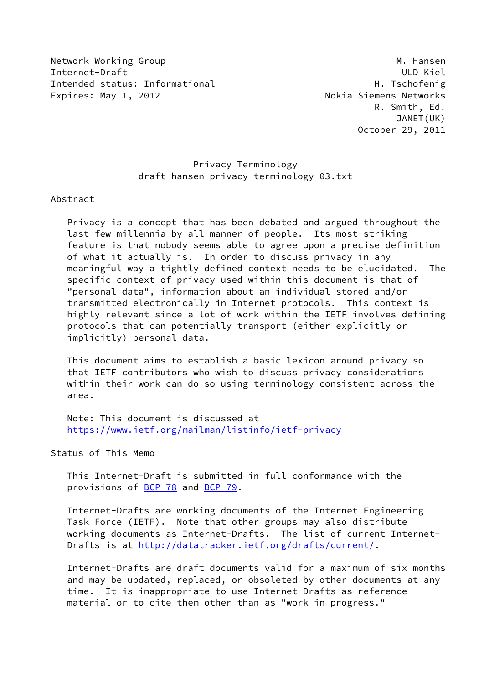Network Working Group Manuscript Communication of the Manuscript Manuscript Manuscript Manuscript Manuscript M Internet-Draft ULD Kiel Intended status: Informational H. Tschofenig Expires: May 1, 2012 **Nokia Siemens Networks** 

 R. Smith, Ed. JANET(UK) October 29, 2011

## Privacy Terminology draft-hansen-privacy-terminology-03.txt

Abstract

 Privacy is a concept that has been debated and argued throughout the last few millennia by all manner of people. Its most striking feature is that nobody seems able to agree upon a precise definition of what it actually is. In order to discuss privacy in any meaningful way a tightly defined context needs to be elucidated. The specific context of privacy used within this document is that of "personal data", information about an individual stored and/or transmitted electronically in Internet protocols. This context is highly relevant since a lot of work within the IETF involves defining protocols that can potentially transport (either explicitly or implicitly) personal data.

 This document aims to establish a basic lexicon around privacy so that IETF contributors who wish to discuss privacy considerations within their work can do so using terminology consistent across the area.

 Note: This document is discussed at <https://www.ietf.org/mailman/listinfo/ietf-privacy>

Status of This Memo

 This Internet-Draft is submitted in full conformance with the provisions of [BCP 78](https://datatracker.ietf.org/doc/pdf/bcp78) and [BCP 79](https://datatracker.ietf.org/doc/pdf/bcp79).

 Internet-Drafts are working documents of the Internet Engineering Task Force (IETF). Note that other groups may also distribute working documents as Internet-Drafts. The list of current Internet- Drafts is at<http://datatracker.ietf.org/drafts/current/>.

 Internet-Drafts are draft documents valid for a maximum of six months and may be updated, replaced, or obsoleted by other documents at any time. It is inappropriate to use Internet-Drafts as reference material or to cite them other than as "work in progress."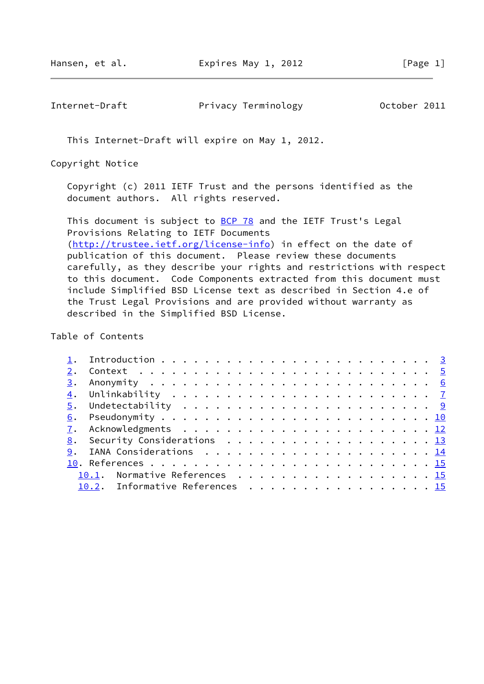Internet-Draft Privacy Terminology Detober 2011

This Internet-Draft will expire on May 1, 2012.

Copyright Notice

 Copyright (c) 2011 IETF Trust and the persons identified as the document authors. All rights reserved.

This document is subject to **[BCP 78](https://datatracker.ietf.org/doc/pdf/bcp78)** and the IETF Trust's Legal Provisions Relating to IETF Documents [\(http://trustee.ietf.org/license-info](http://trustee.ietf.org/license-info)) in effect on the date of publication of this document. Please review these documents carefully, as they describe your rights and restrictions with respect to this document. Code Components extracted from this document must include Simplified BSD License text as described in Section 4.e of the Trust Legal Provisions and are provided without warranty as described in the Simplified BSD License.

Table of Contents

|  | 8. Security Considerations 13   |  |
|--|---------------------------------|--|
|  |                                 |  |
|  |                                 |  |
|  | 10.1. Normative References 15   |  |
|  | 10.2. Informative References 15 |  |
|  |                                 |  |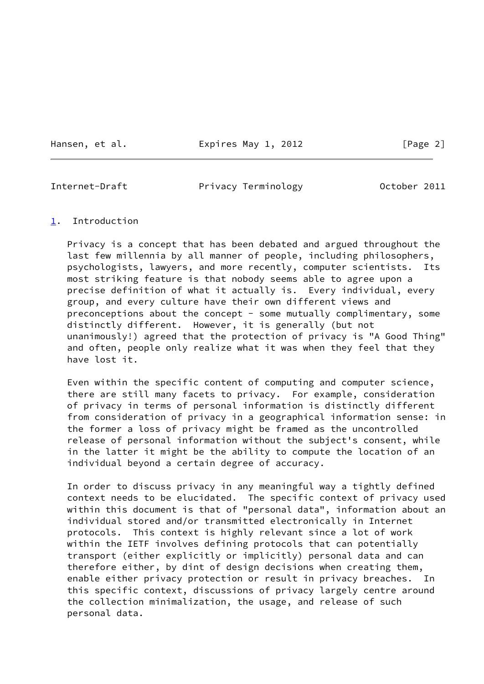Hansen, et al. **Expires May 1, 2012** [Page 2]

<span id="page-2-1"></span>

Internet-Draft Privacy Terminology October 2011

#### <span id="page-2-0"></span>[1](#page-2-0). Introduction

 Privacy is a concept that has been debated and argued throughout the last few millennia by all manner of people, including philosophers, psychologists, lawyers, and more recently, computer scientists. Its most striking feature is that nobody seems able to agree upon a precise definition of what it actually is. Every individual, every group, and every culture have their own different views and preconceptions about the concept - some mutually complimentary, some distinctly different. However, it is generally (but not unanimously!) agreed that the protection of privacy is "A Good Thing" and often, people only realize what it was when they feel that they have lost it.

 Even within the specific content of computing and computer science, there are still many facets to privacy. For example, consideration of privacy in terms of personal information is distinctly different from consideration of privacy in a geographical information sense: in the former a loss of privacy might be framed as the uncontrolled release of personal information without the subject's consent, while in the latter it might be the ability to compute the location of an individual beyond a certain degree of accuracy.

 In order to discuss privacy in any meaningful way a tightly defined context needs to be elucidated. The specific context of privacy used within this document is that of "personal data", information about an individual stored and/or transmitted electronically in Internet protocols. This context is highly relevant since a lot of work within the IETF involves defining protocols that can potentially transport (either explicitly or implicitly) personal data and can therefore either, by dint of design decisions when creating them, enable either privacy protection or result in privacy breaches. In this specific context, discussions of privacy largely centre around the collection minimalization, the usage, and release of such personal data.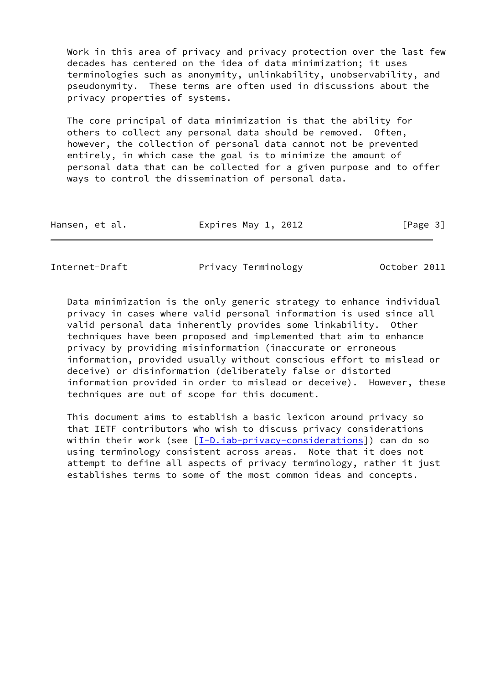Work in this area of privacy and privacy protection over the last few decades has centered on the idea of data minimization; it uses terminologies such as anonymity, unlinkability, unobservability, and pseudonymity. These terms are often used in discussions about the privacy properties of systems.

 The core principal of data minimization is that the ability for others to collect any personal data should be removed. Often, however, the collection of personal data cannot not be prevented entirely, in which case the goal is to minimize the amount of personal data that can be collected for a given purpose and to offer ways to control the dissemination of personal data.

| Hansen, et al.<br>[Page 3]<br>Expires May 1, 2012 |
|---------------------------------------------------|
|---------------------------------------------------|

Internet-Draft Privacy Terminology 0ctober 2011

 Data minimization is the only generic strategy to enhance individual privacy in cases where valid personal information is used since all valid personal data inherently provides some linkability. Other techniques have been proposed and implemented that aim to enhance privacy by providing misinformation (inaccurate or erroneous information, provided usually without conscious effort to mislead or deceive) or disinformation (deliberately false or distorted information provided in order to mislead or deceive). However, these techniques are out of scope for this document.

 This document aims to establish a basic lexicon around privacy so that IETF contributors who wish to discuss privacy considerations within their work (see [\[I-D.iab-privacy-considerations](#page-16-1)]) can do so using terminology consistent across areas. Note that it does not attempt to define all aspects of privacy terminology, rather it just establishes terms to some of the most common ideas and concepts.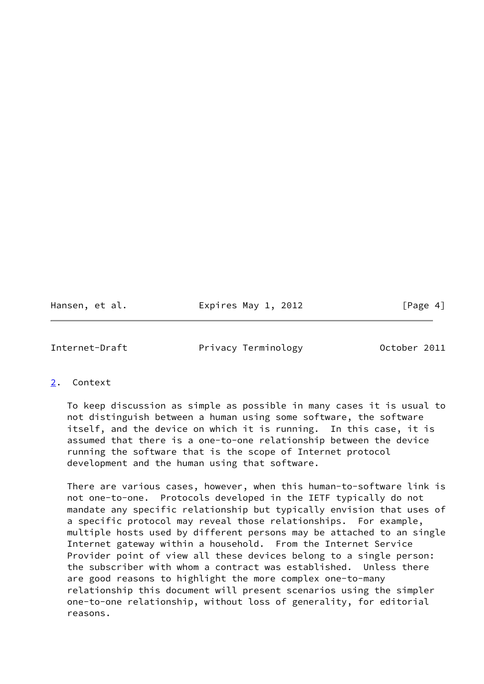Hansen, et al. **Expires May 1, 2012** [Page 4]

<span id="page-4-1"></span>Internet-Draft Privacy Terminology Detober 2011

<span id="page-4-0"></span>[2](#page-4-0). Context

 To keep discussion as simple as possible in many cases it is usual to not distinguish between a human using some software, the software itself, and the device on which it is running. In this case, it is assumed that there is a one-to-one relationship between the device running the software that is the scope of Internet protocol development and the human using that software.

 There are various cases, however, when this human-to-software link is not one-to-one. Protocols developed in the IETF typically do not mandate any specific relationship but typically envision that uses of a specific protocol may reveal those relationships. For example, multiple hosts used by different persons may be attached to an single Internet gateway within a household. From the Internet Service Provider point of view all these devices belong to a single person: the subscriber with whom a contract was established. Unless there are good reasons to highlight the more complex one-to-many relationship this document will present scenarios using the simpler one-to-one relationship, without loss of generality, for editorial reasons.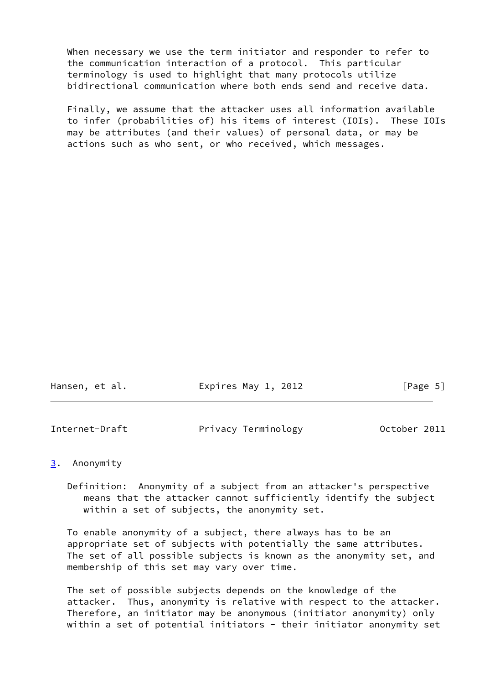When necessary we use the term initiator and responder to refer to the communication interaction of a protocol. This particular terminology is used to highlight that many protocols utilize bidirectional communication where both ends send and receive data.

 Finally, we assume that the attacker uses all information available to infer (probabilities of) his items of interest (IOIs). These IOIs may be attributes (and their values) of personal data, or may be actions such as who sent, or who received, which messages.

| Expires May 1, 2012<br>[Page 5]<br>Hansen, et al. |  |
|---------------------------------------------------|--|
|---------------------------------------------------|--|

<span id="page-5-1"></span>

|  | Internet-Draft | Privacy Terminology | October 2011 |
|--|----------------|---------------------|--------------|
|--|----------------|---------------------|--------------|

#### <span id="page-5-0"></span>[3](#page-5-0). Anonymity

 Definition: Anonymity of a subject from an attacker's perspective means that the attacker cannot sufficiently identify the subject within a set of subjects, the anonymity set.

 To enable anonymity of a subject, there always has to be an appropriate set of subjects with potentially the same attributes. The set of all possible subjects is known as the anonymity set, and membership of this set may vary over time.

 The set of possible subjects depends on the knowledge of the attacker. Thus, anonymity is relative with respect to the attacker. Therefore, an initiator may be anonymous (initiator anonymity) only within a set of potential initiators - their initiator anonymity set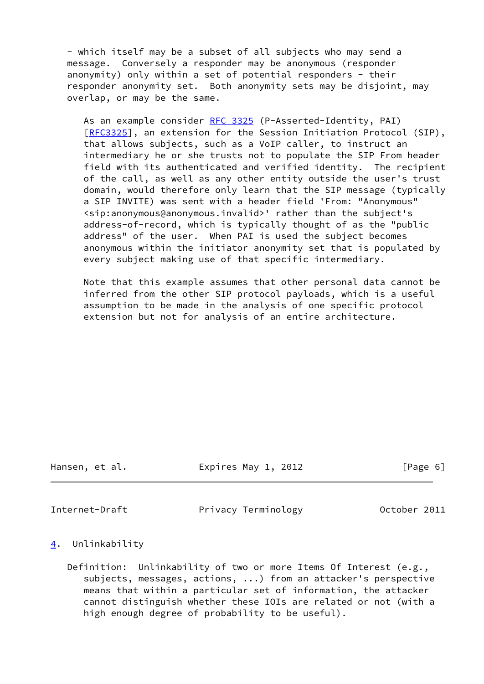- which itself may be a subset of all subjects who may send a message. Conversely a responder may be anonymous (responder anonymity) only within a set of potential responders - their responder anonymity set. Both anonymity sets may be disjoint, may overlap, or may be the same.

As an example consider [RFC 3325](https://datatracker.ietf.org/doc/pdf/rfc3325) (P-Asserted-Identity, PAI) [[RFC3325\]](https://datatracker.ietf.org/doc/pdf/rfc3325), an extension for the Session Initiation Protocol (SIP), that allows subjects, such as a VoIP caller, to instruct an intermediary he or she trusts not to populate the SIP From header field with its authenticated and verified identity. The recipient of the call, as well as any other entity outside the user's trust domain, would therefore only learn that the SIP message (typically a SIP INVITE) was sent with a header field 'From: "Anonymous" <sip:anonymous@anonymous.invalid>' rather than the subject's address-of-record, which is typically thought of as the "public address" of the user. When PAI is used the subject becomes anonymous within the initiator anonymity set that is populated by every subject making use of that specific intermediary.

 Note that this example assumes that other personal data cannot be inferred from the other SIP protocol payloads, which is a useful assumption to be made in the analysis of one specific protocol extension but not for analysis of an entire architecture.

Hansen, et al. Expires May 1, 2012 [Page 6]

<span id="page-6-1"></span>

Internet-Draft Privacy Terminology Detober 2011

#### <span id="page-6-0"></span>[4](#page-6-0). Unlinkability

 Definition: Unlinkability of two or more Items Of Interest (e.g., subjects, messages, actions, ...) from an attacker's perspective means that within a particular set of information, the attacker cannot distinguish whether these IOIs are related or not (with a high enough degree of probability to be useful).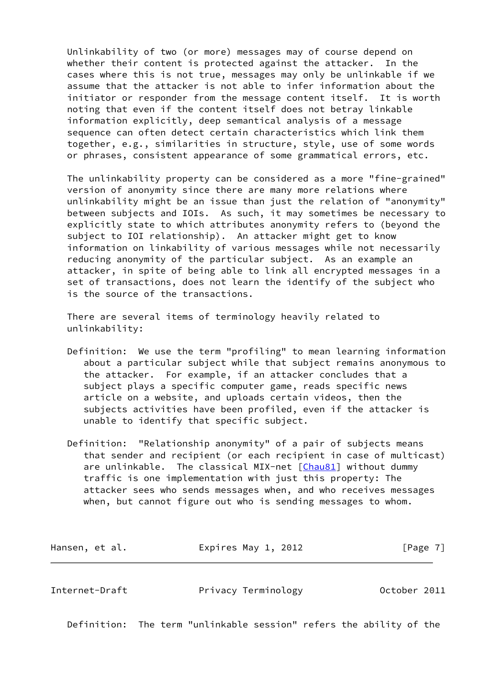Unlinkability of two (or more) messages may of course depend on whether their content is protected against the attacker. In the cases where this is not true, messages may only be unlinkable if we assume that the attacker is not able to infer information about the initiator or responder from the message content itself. It is worth noting that even if the content itself does not betray linkable information explicitly, deep semantical analysis of a message sequence can often detect certain characteristics which link them together, e.g., similarities in structure, style, use of some words or phrases, consistent appearance of some grammatical errors, etc.

 The unlinkability property can be considered as a more "fine-grained" version of anonymity since there are many more relations where unlinkability might be an issue than just the relation of "anonymity" between subjects and IOIs. As such, it may sometimes be necessary to explicitly state to which attributes anonymity refers to (beyond the subject to IOI relationship). An attacker might get to know information on linkability of various messages while not necessarily reducing anonymity of the particular subject. As an example an attacker, in spite of being able to link all encrypted messages in a set of transactions, does not learn the identify of the subject who is the source of the transactions.

 There are several items of terminology heavily related to unlinkability:

- Definition: We use the term "profiling" to mean learning information about a particular subject while that subject remains anonymous to the attacker. For example, if an attacker concludes that a subject plays a specific computer game, reads specific news article on a website, and uploads certain videos, then the subjects activities have been profiled, even if the attacker is unable to identify that specific subject.
- Definition: "Relationship anonymity" of a pair of subjects means that sender and recipient (or each recipient in case of multicast) are unlinkable. The classical MIX-net [[Chau81](#page-16-2)] without dummy traffic is one implementation with just this property: The attacker sees who sends messages when, and who receives messages when, but cannot figure out who is sending messages to whom.

| Hansen, et al. | Expires May 1, 2012 | [Page 7] |
|----------------|---------------------|----------|
|----------------|---------------------|----------|

Internet-Draft Privacy Terminology October 2011

Definition: The term "unlinkable session" refers the ability of the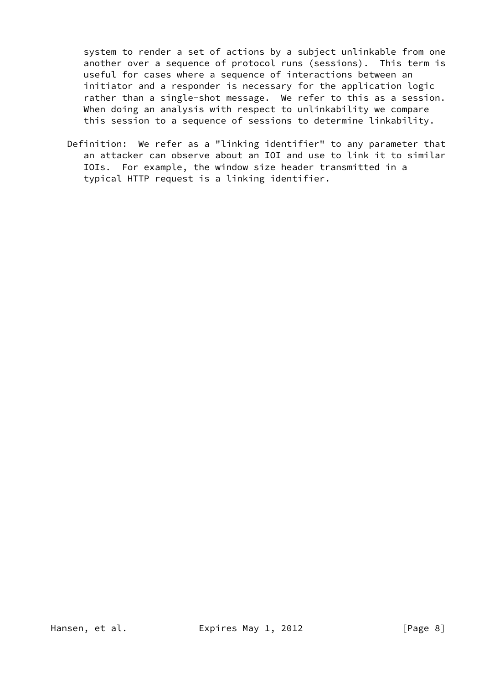system to render a set of actions by a subject unlinkable from one another over a sequence of protocol runs (sessions). This term is useful for cases where a sequence of interactions between an initiator and a responder is necessary for the application logic rather than a single-shot message. We refer to this as a session. When doing an analysis with respect to unlinkability we compare this session to a sequence of sessions to determine linkability.

 Definition: We refer as a "linking identifier" to any parameter that an attacker can observe about an IOI and use to link it to similar IOIs. For example, the window size header transmitted in a typical HTTP request is a linking identifier.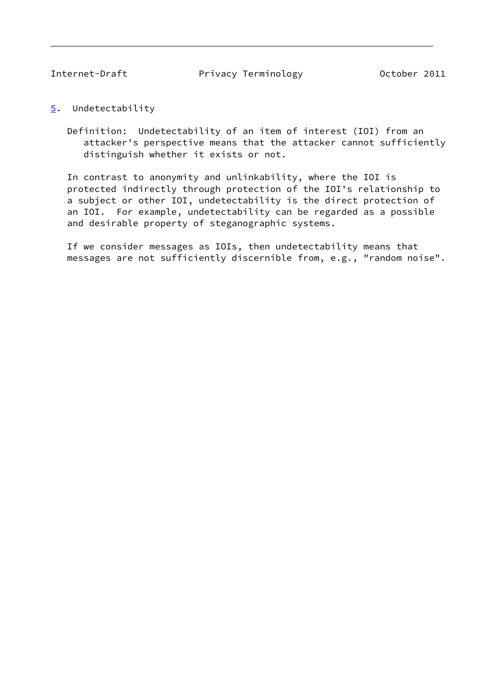<span id="page-9-1"></span>Internet-Draft Privacy Terminology Discrement Privacy Terminology Discrement 2011

- <span id="page-9-0"></span>[5](#page-9-0). Undetectability
	- Definition: Undetectability of an item of interest (IOI) from an attacker's perspective means that the attacker cannot sufficiently distinguish whether it exists or not.

 In contrast to anonymity and unlinkability, where the IOI is protected indirectly through protection of the IOI's relationship to a subject or other IOI, undetectability is the direct protection of an IOI. For example, undetectability can be regarded as a possible and desirable property of steganographic systems.

 If we consider messages as IOIs, then undetectability means that messages are not sufficiently discernible from, e.g., "random noise".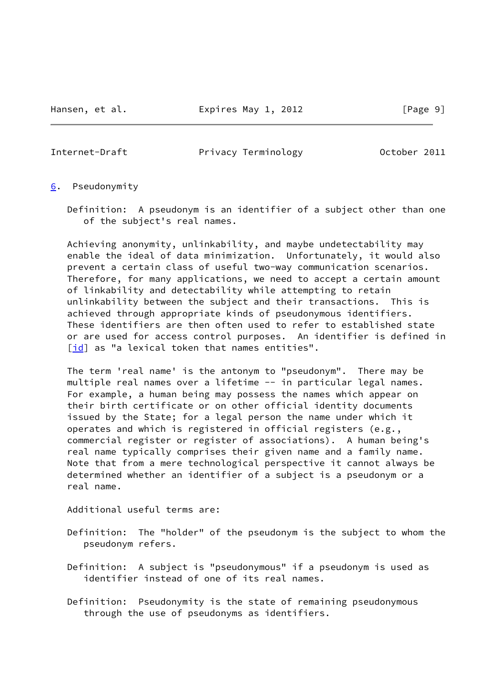Hansen, et al. **Expires May 1, 2012** [Page 9]

<span id="page-10-1"></span>Internet-Draft Privacy Terminology 0ctober 2011

- <span id="page-10-0"></span>[6](#page-10-0). Pseudonymity
	- Definition: A pseudonym is an identifier of a subject other than one of the subject's real names.

 Achieving anonymity, unlinkability, and maybe undetectability may enable the ideal of data minimization. Unfortunately, it would also prevent a certain class of useful two-way communication scenarios. Therefore, for many applications, we need to accept a certain amount of linkability and detectability while attempting to retain unlinkability between the subject and their transactions. This is achieved through appropriate kinds of pseudonymous identifiers. These identifiers are then often used to refer to established state or are used for access control purposes. An identifier is defined in [\[id\]](#page-16-3) as "a lexical token that names entities".

 The term 'real name' is the antonym to "pseudonym". There may be multiple real names over a lifetime -- in particular legal names. For example, a human being may possess the names which appear on their birth certificate or on other official identity documents issued by the State; for a legal person the name under which it operates and which is registered in official registers (e.g., commercial register or register of associations). A human being's real name typically comprises their given name and a family name. Note that from a mere technological perspective it cannot always be determined whether an identifier of a subject is a pseudonym or a real name.

Additional useful terms are:

- Definition: The "holder" of the pseudonym is the subject to whom the pseudonym refers.
- Definition: A subject is "pseudonymous" if a pseudonym is used as identifier instead of one of its real names.
- Definition: Pseudonymity is the state of remaining pseudonymous through the use of pseudonyms as identifiers.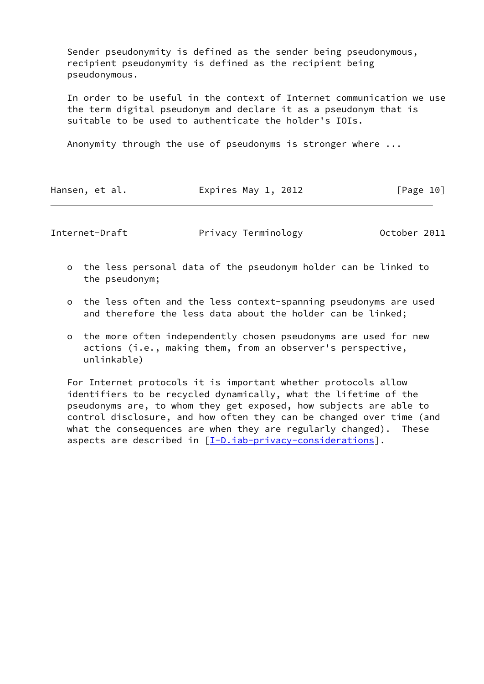Sender pseudonymity is defined as the sender being pseudonymous, recipient pseudonymity is defined as the recipient being pseudonymous.

 In order to be useful in the context of Internet communication we use the term digital pseudonym and declare it as a pseudonym that is suitable to be used to authenticate the holder's IOIs.

Anonymity through the use of pseudonyms is stronger where ...

| Expires May 1, 2012<br>[Page 10]<br>Hansen, et al. |  |
|----------------------------------------------------|--|
|----------------------------------------------------|--|

Internet-Draft **Privacy Terminology** October 2011

- o the less personal data of the pseudonym holder can be linked to the pseudonym;
- o the less often and the less context-spanning pseudonyms are used and therefore the less data about the holder can be linked;
- o the more often independently chosen pseudonyms are used for new actions (i.e., making them, from an observer's perspective, unlinkable)

 For Internet protocols it is important whether protocols allow identifiers to be recycled dynamically, what the lifetime of the pseudonyms are, to whom they get exposed, how subjects are able to control disclosure, and how often they can be changed over time (and what the consequences are when they are regularly changed). These aspects are described in [\[I-D.iab-privacy-considerations](#page-16-1)].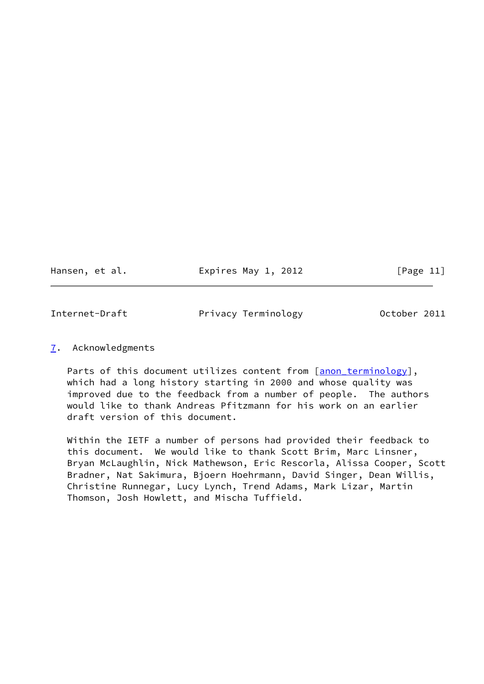Hansen, et al. **Expires May 1, 2012** [Page 11]

<span id="page-12-1"></span>Internet-Draft Privacy Terminology 0ctober 2011

### <span id="page-12-0"></span>[7](#page-12-0). Acknowledgments

Parts of this document utilizes content from [anon terminology], which had a long history starting in 2000 and whose quality was improved due to the feedback from a number of people. The authors would like to thank Andreas Pfitzmann for his work on an earlier draft version of this document.

 Within the IETF a number of persons had provided their feedback to this document. We would like to thank Scott Brim, Marc Linsner, Bryan McLaughlin, Nick Mathewson, Eric Rescorla, Alissa Cooper, Scott Bradner, Nat Sakimura, Bjoern Hoehrmann, David Singer, Dean Willis, Christine Runnegar, Lucy Lynch, Trend Adams, Mark Lizar, Martin Thomson, Josh Howlett, and Mischa Tuffield.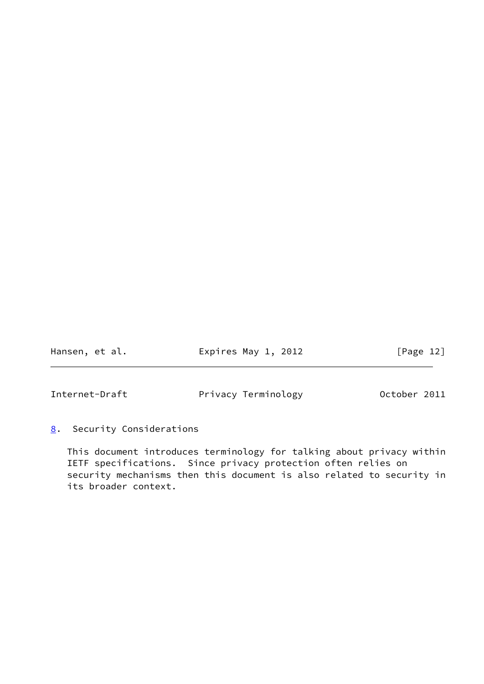Hansen, et al. **Expires May 1, 2012** [Page 12]

<span id="page-13-1"></span>Internet-Draft Privacy Terminology Discrement Post 2011

<span id="page-13-0"></span>[8](#page-13-0). Security Considerations

 This document introduces terminology for talking about privacy within IETF specifications. Since privacy protection often relies on security mechanisms then this document is also related to security in its broader context.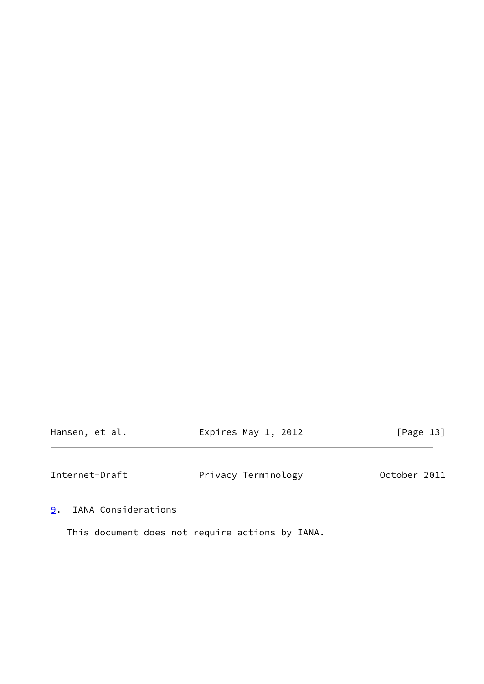Hansen, et al. **Expires May 1, 2012** [Page 13]

<span id="page-14-1"></span>Internet-Draft **Privacy Terminology** October 2011

<span id="page-14-0"></span>[9](#page-14-0). IANA Considerations

This document does not require actions by IANA.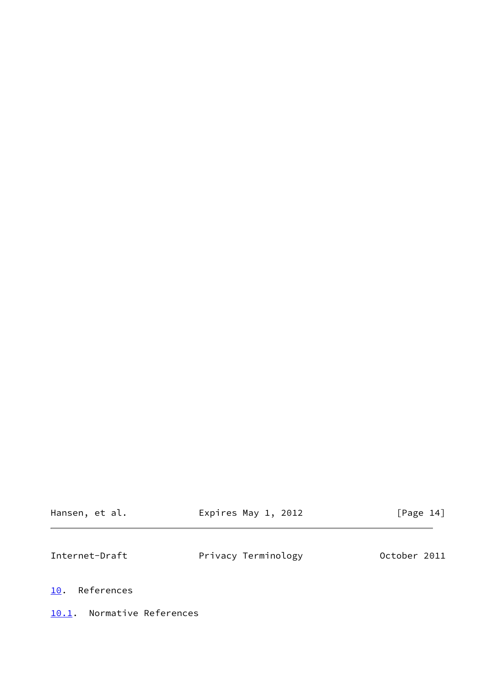<span id="page-15-1"></span>

| Hansen, et al.    | Expires May 1, 2012 | [Page 14]    |
|-------------------|---------------------|--------------|
| Internet-Draft    | Privacy Terminology | October 2011 |
| References<br>10. |                     |              |

# <span id="page-15-2"></span><span id="page-15-0"></span>[10.1](#page-15-2). Normative References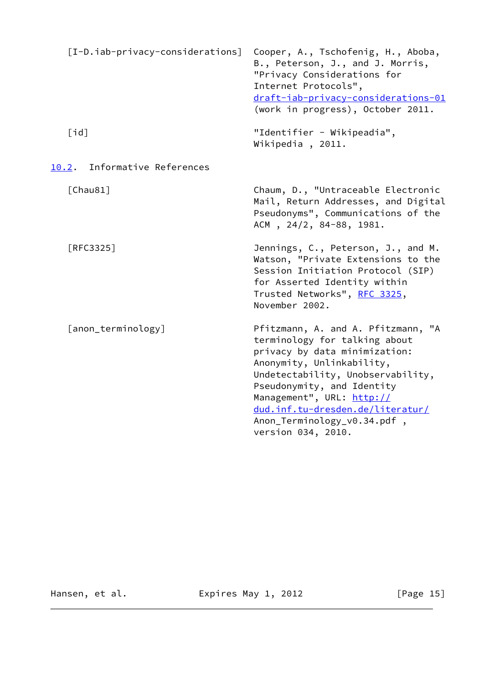<span id="page-16-3"></span><span id="page-16-2"></span><span id="page-16-1"></span><span id="page-16-0"></span>

| [I-D.iab-privacy-considerations] | Cooper, A., Tschofenig, H., Aboba,<br>B., Peterson, J., and J. Morris,<br>"Privacy Considerations for<br>Internet Protocols",<br>draft-iab-privacy-considerations-01<br>(work in progress), October 2011.                                                                                                                  |
|----------------------------------|----------------------------------------------------------------------------------------------------------------------------------------------------------------------------------------------------------------------------------------------------------------------------------------------------------------------------|
| [id]                             | "Identifier - Wikipeadia",<br>Wikipedia, 2011.                                                                                                                                                                                                                                                                             |
| Informative References<br>10.2.  |                                                                                                                                                                                                                                                                                                                            |
| [Chau81]                         | Chaum, D., "Untraceable Electronic<br>Mail, Return Addresses, and Digital<br>Pseudonyms", Communications of the<br>ACM, 24/2, 84-88, 1981.                                                                                                                                                                                 |
| [RFC3325]                        | Jennings, C., Peterson, J., and M.<br>Watson, "Private Extensions to the<br>Session Initiation Protocol (SIP)<br>for Asserted Identity within<br>Trusted Networks", RFC 3325,<br>November 2002.                                                                                                                            |
| [anon_terminology]               | Pfitzmann, A. and A. Pfitzmann, "A<br>terminology for talking about<br>privacy by data minimization:<br>Anonymity, Unlinkability,<br>Undetectability, Unobservability,<br>Pseudonymity, and Identity<br>Management", URL: http://<br>dud.inf.tu-dresden.de/literatur/<br>Anon_Terminology_v0.34.pdf,<br>version 034, 2010. |

<span id="page-16-4"></span>Hansen, et al. **Expires May 1, 2012** [Page 15]